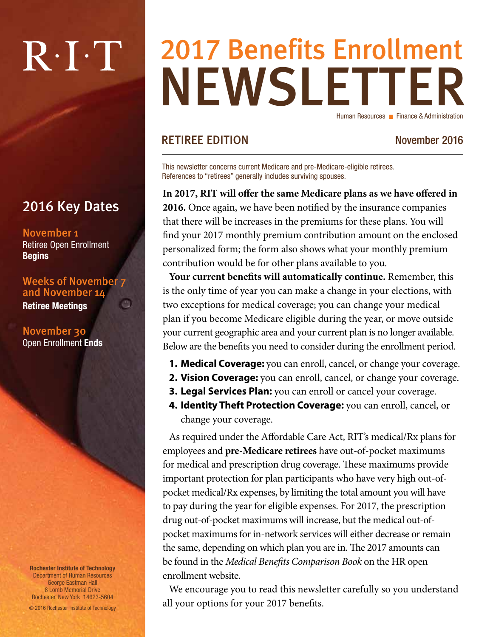# $R \cdot I \cdot T$

### 2016 Key Dates

November 1 Retiree Open Enrollment **Begins** 

Weeks of November 7 and November 14 c3

Retiree Meetings

November 30 Open Enrollment Ends

Rochester Institute of Technology Department of Human Resources George Eastman Hall 8 Lomb Memorial Drive Rochester, New York 14623-5604

© 2016 Rochester Institute of Technology

### NEWSLETTER 2017 Benefits Enrollment Human Resources **Finance & Administration**

#### RETIREE EDITION November 2016

This newsletter concerns current Medicare and pre-Medicare-eligible retirees. References to "retirees" generally includes surviving spouses.

**In 2017, RIT will offer the same Medicare plans as we have offered in 2016.** Once again, we have been notified by the insurance companies that there will be increases in the premiums for these plans. You will find your 2017 monthly premium contribution amount on the enclosed personalized form; the form also shows what your monthly premium contribution would be for other plans available to you.

**Your current benefits will automatically continue.** Remember, this is the only time of year you can make a change in your elections, with two exceptions for medical coverage; you can change your medical plan if you become Medicare eligible during the year, or move outside your current geographic area and your current plan is no longer available. Below are the benefits you need to consider during the enrollment period.

- **1. Medical Coverage:** you can enroll, cancel, or change your coverage.
- **2. Vision Coverage:** you can enroll, cancel, or change your coverage.
- **3. Legal Services Plan:** you can enroll or cancel your coverage.
- **4. Identity Theft Protection Coverage:** you can enroll, cancel, or change your coverage.

As required under the Affordable Care Act, RIT's medical/Rx plans for employees and **pre-Medicare retirees** have out-of-pocket maximums for medical and prescription drug coverage. These maximums provide important protection for plan participants who have very high out-ofpocket medical/Rx expenses, by limiting the total amount you will have to pay during the year for eligible expenses. For 2017, the prescription drug out-of-pocket maximums will increase, but the medical out-ofpocket maximums for in-network services will either decrease or remain the same, depending on which plan you are in. The 2017 amounts can be found in the *Medical Benefits Comparison Book* on the HR open enrollment website.

We encourage you to read this newsletter carefully so you understand all your options for your 2017 benefits.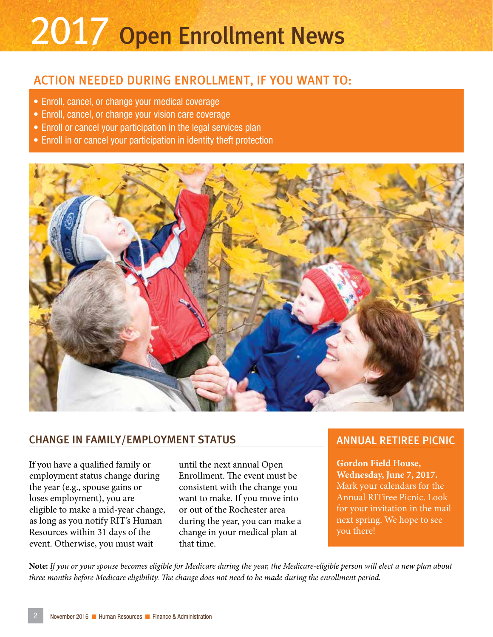# 2017 Open Enrollment News

#### ACTION NEEDED DURING ENROLLMENT, IF YOU WANT TO:

- Enroll, cancel, or change your medical coverage
- Enroll, cancel, or change your vision care coverage
- Enroll or cancel your participation in the legal services plan
- Enroll in or cancel your participation in identity theft protection



#### CHANGE IN FAMILY/EMPLOYMENT STATUS

If you have a qualified family or employment status change during the year (e.g., spouse gains or loses employment), you are eligible to make a mid-year change, as long as you notify RIT's Human Resources within 31 days of the event. Otherwise, you must wait

until the next annual Open Enrollment. The event must be consistent with the change you want to make. If you move into or out of the Rochester area during the year, you can make a change in your medical plan at that time.

#### ANNUAL RETIREE PICNIC

**Gordon Field House, Wednesday, June 7, 2017.** Mark your calendars for the Annual RITiree Picnic. Look for your invitation in the mail next spring. We hope to see you there!

**Note:** *If you or your spouse becomes eligible for Medicare during the year, the Medicare-eligible person will elect a new plan about three months before Medicare eligibility. The change does not need to be made during the enrollment period.*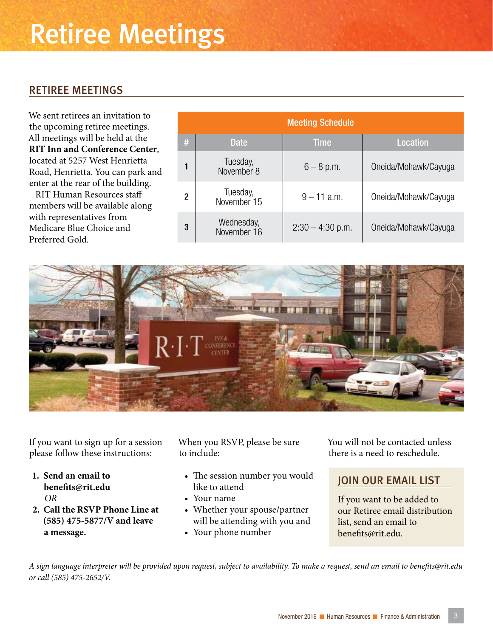### Retiree Meetings

#### RETIREE MEETINGS

We sent retirees an invitation to the upcoming retiree meetings. All meetings will be held at the **RIT Inn and Conference Center**, located at 5257 West Henrietta Road, Henrietta. You can park and enter at the rear of the building.

RIT Human Resources staff members will be available along with representatives from Medicare Blue Choice and Preferred Gold.

| <b>Meeting Schedule</b> |                           |                    |                      |  |  |  |
|-------------------------|---------------------------|--------------------|----------------------|--|--|--|
| #                       | <b>Date</b>               | <b>Time</b>        | <b>Location</b>      |  |  |  |
|                         | Tuesday,<br>November 8    | $6 - 8$ p.m.       | Oneida/Mohawk/Cayuga |  |  |  |
| $\mathbf 2$             | Tuesday,<br>November 15   | $9 - 11$ a.m.      | Oneida/Mohawk/Cayuga |  |  |  |
| 3                       | Wednesday,<br>November 16 | $2:30 - 4:30$ p.m. | Oneida/Mohawk/Cayuga |  |  |  |



If you want to sign up for a session please follow these instructions:

- **1. Send an email to benefits@rit.edu**  *OR*
- **2. Call the RSVP Phone Line at (585) 475-5877/V and leave a message.**

When you RSVP, please be sure to include:

- The session number you would like to attend
- Your name
- Whether your spouse/partner will be attending with you and
- Your phone number

You will not be contacted unless there is a need to reschedule.

#### JOIN OUR EMAIL LIST

If you want to be added to our Retiree email distribution list, send an email to benefits@rit.edu.

*A sign language interpreter will be provided upon request, subject to availability. To make a request, send an email to benefits@rit.edu or call (585) 475-2652/V.*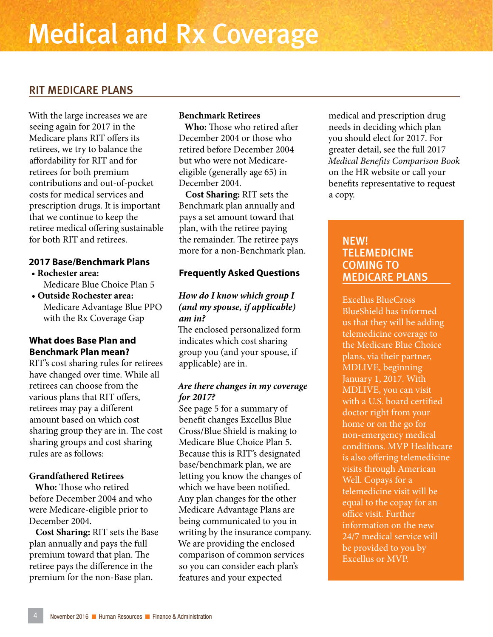#### RIT MEDICARE PLANS

With the large increases we are seeing again for 2017 in the Medicare plans RIT offers its retirees, we try to balance the affordability for RIT and for retirees for both premium contributions and out-of-pocket costs for medical services and prescription drugs. It is important that we continue to keep the retiree medical offering sustainable for both RIT and retirees.

#### **2017 Base/Benchmark Plans**

- • **Rochester area:**  Medicare Blue Choice Plan 5
- **Outside Rochester area:**  Medicare Advantage Blue PPO with the Rx Coverage Gap

#### **What does Base Plan and Benchmark Plan mean?**

RIT's cost sharing rules for retirees have changed over time. While all retirees can choose from the various plans that RIT offers, retirees may pay a different amount based on which cost sharing group they are in. The cost sharing groups and cost sharing rules are as follows:

#### **Grandfathered Retirees**

**Who:** Those who retired before December 2004 and who were Medicare-eligible prior to December 2004.

**Cost Sharing:** RIT sets the Base plan annually and pays the full premium toward that plan. The retiree pays the difference in the premium for the non-Base plan.

#### **Benchmark Retirees**

**Who:** Those who retired after December 2004 or those who retired before December 2004 but who were not Medicareeligible (generally age 65) in December 2004.

**Cost Sharing:** RIT sets the Benchmark plan annually and pays a set amount toward that plan, with the retiree paying the remainder. The retiree pays more for a non-Benchmark plan.

#### **Frequently Asked Questions**

#### *How do I know which group I (and my spouse, if applicable) am in?*

The enclosed personalized form indicates which cost sharing group you (and your spouse, if applicable) are in.

#### *Are there changes in my coverage for 2017?*

See page 5 for a summary of benefit changes Excellus Blue Cross/Blue Shield is making to Medicare Blue Choice Plan 5. Because this is RIT's designated base/benchmark plan, we are letting you know the changes of which we have been notified. Any plan changes for the other Medicare Advantage Plans are being communicated to you in writing by the insurance company. We are providing the enclosed comparison of common services so you can consider each plan's features and your expected

medical and prescription drug needs in deciding which plan you should elect for 2017. For greater detail, see the full 2017 *Medical Benefits Comparison Book* on the HR website or call your benefits representative to request a copy.

#### NEW! TELEMEDICINE COMING TO MEDICARE PLANS

Excellus BlueCross BlueShield has informed us that they will be adding telemedicine coverage to the Medicare Blue Choice plans, via their partner, MDLIVE, beginning January 1, 2017. With MDLIVE, you can visit with a U.S. board certified doctor right from your home or on the go for non-emergency medical conditions. MVP Healthcare is also offering telemedicine visits through American Well. Copays for a telemedicine visit will be equal to the copay for an office visit. Further information on the new 24/7 medical service will be provided to you by Excellus or MVP.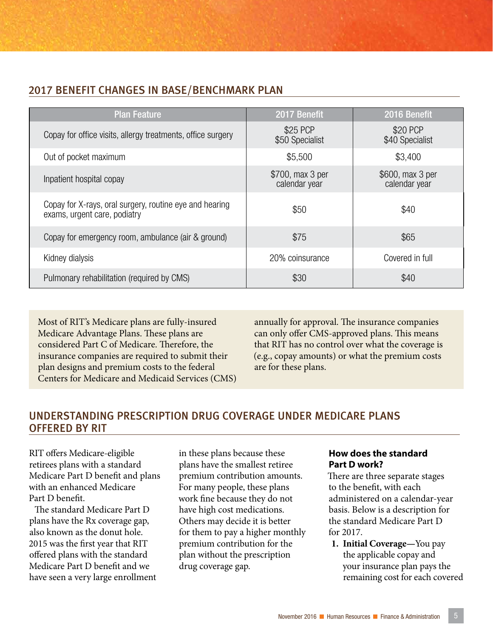#### 2017 BENEFIT CHANGES IN BASE/BENCHMARK PLAN

| <b>Plan Feature</b>                                                                     | 2017 Benefit                      | 2016 Benefit                      |
|-----------------------------------------------------------------------------------------|-----------------------------------|-----------------------------------|
| Copay for office visits, allergy treatments, office surgery                             | \$25 PCP<br>\$50 Specialist       | \$20 PCP<br>\$40 Specialist       |
| Out of pocket maximum                                                                   | \$5,500                           | \$3,400                           |
| Inpatient hospital copay                                                                | \$700, max 3 per<br>calendar year | \$600, max 3 per<br>calendar year |
| Copay for X-rays, oral surgery, routine eye and hearing<br>exams, urgent care, podiatry | \$50                              | \$40                              |
| Copay for emergency room, ambulance (air & ground)                                      | \$75                              | \$65                              |
| Kidney dialysis                                                                         | 20% coinsurance                   | Covered in full                   |
| Pulmonary rehabilitation (required by CMS)                                              | \$30                              | \$40                              |

Most of RIT's Medicare plans are fully-insured Medicare Advantage Plans. These plans are considered Part C of Medicare. Therefore, the insurance companies are required to submit their plan designs and premium costs to the federal Centers for Medicare and Medicaid Services (CMS) annually for approval. The insurance companies can only offer CMS-approved plans. This means that RIT has no control over what the coverage is (e.g., copay amounts) or what the premium costs are for these plans.

#### UNDERSTANDING PRESCRIPTION DRUG COVERAGE UNDER MEDICARE PLANS OFFERED BY RIT

RIT offers Medicare-eligible retirees plans with a standard Medicare Part D benefit and plans with an enhanced Medicare Part D benefit.

The standard Medicare Part D plans have the Rx coverage gap, also known as the donut hole. 2015 was the first year that RIT offered plans with the standard Medicare Part D benefit and we have seen a very large enrollment in these plans because these plans have the smallest retiree premium contribution amounts. For many people, these plans work fine because they do not have high cost medications. Others may decide it is better for them to pay a higher monthly premium contribution for the plan without the prescription drug coverage gap.

#### **How does the standard Part D work?**

There are three separate stages to the benefit, with each administered on a calendar-year basis. Below is a description for the standard Medicare Part D for 2017.

**1. Initial Coverage—**You pay the applicable copay and your insurance plan pays the remaining cost for each covered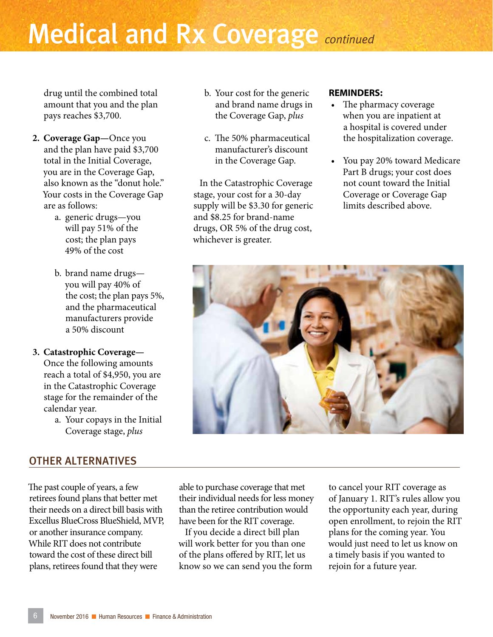## Medical and Rx Coverage *continued*

drug until the combined total amount that you and the plan pays reaches \$3,700.

- **2. Coverage Gap—**Once you and the plan have paid \$3,700 total in the Initial Coverage, you are in the Coverage Gap, also known as the "donut hole." Your costs in the Coverage Gap are as follows:
	- a. generic drugs—you will pay 51% of the cost; the plan pays 49% of the cost
	- b. brand name drugs you will pay 40% of the cost; the plan pays 5%, and the pharmaceutical manufacturers provide a 50% discount

#### **3. Catastrophic Coverage—**

Once the following amounts reach a total of \$4,950, you are in the Catastrophic Coverage stage for the remainder of the calendar year.

a. Your copays in the Initial Coverage stage, *plus*

#### OTHER ALTERNATIVES

The past couple of years, a few retirees found plans that better met their needs on a direct bill basis with Excellus BlueCross BlueShield, MVP, or another insurance company. While RIT does not contribute toward the cost of these direct bill plans, retirees found that they were

able to purchase coverage that met their individual needs for less money than the retiree contribution would have been for the RIT coverage.

If you decide a direct bill plan will work better for you than one of the plans offered by RIT, let us know so we can send you the form to cancel your RIT coverage as of January 1. RIT's rules allow you the opportunity each year, during open enrollment, to rejoin the RIT plans for the coming year. You would just need to let us know on a timely basis if you wanted to rejoin for a future year.

#### b. Your cost for the generic and brand name drugs in the Coverage Gap, *plus*

c. The 50% pharmaceutical manufacturer's discount in the Coverage Gap.

In the Catastrophic Coverage stage, your cost for a 30-day supply will be \$3.30 for generic and \$8.25 for brand-name drugs, OR 5% of the drug cost, whichever is greater.

#### **REMINDERS:**

- The pharmacy coverage when you are inpatient at a hospital is covered under the hospitalization coverage.
- You pay 20% toward Medicare Part B drugs; your cost does not count toward the Initial Coverage or Coverage Gap limits described above.

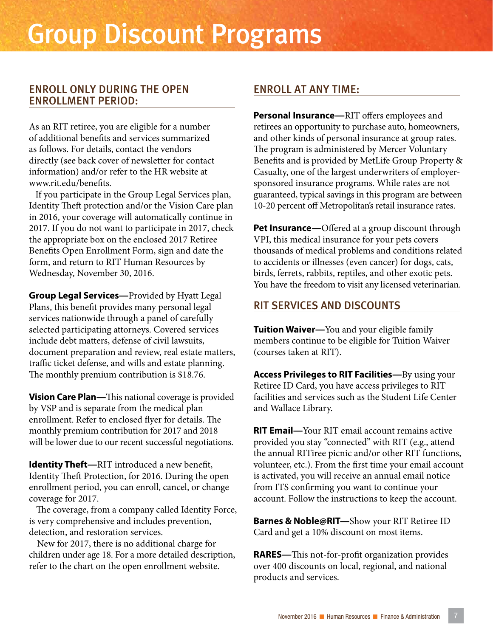#### ENROLL ONLY DURING THE OPEN ENROLLMENT PERIOD:

As an RIT retiree, you are eligible for a number of additional benefits and services summarized as follows. For details, contact the vendors directly (see back cover of newsletter for contact information) and/or refer to the HR website at www.rit.edu/benefits.

If you participate in the Group Legal Services plan, Identity Theft protection and/or the Vision Care plan in 2016, your coverage will automatically continue in 2017. If you do not want to participate in 2017, check the appropriate box on the enclosed 2017 Retiree Benefits Open Enrollment Form, sign and date the form, and return to RIT Human Resources by Wednesday, November 30, 2016.

**Group Legal Services—**Provided by Hyatt Legal Plans, this benefit provides many personal legal services nationwide through a panel of carefully selected participating attorneys. Covered services include debt matters, defense of civil lawsuits, document preparation and review, real estate matters, traffic ticket defense, and wills and estate planning. The monthly premium contribution is \$18.76.

**Vision Care Plan—**This national coverage is provided by VSP and is separate from the medical plan enrollment. Refer to enclosed flyer for details. The monthly premium contribution for 2017 and 2018 will be lower due to our recent successful negotiations.

**Identity Theft—**RIT introduced a new benefit, Identity Theft Protection, for 2016. During the open enrollment period, you can enroll, cancel, or change coverage for 2017.

The coverage, from a company called Identity Force, is very comprehensive and includes prevention, detection, and restoration services.

New for 2017, there is no additional charge for children under age 18. For a more detailed description, refer to the chart on the open enrollment website.

#### ENROLL AT ANY TIME:

**Personal Insurance—**RIT offers employees and retirees an opportunity to purchase auto, homeowners, and other kinds of personal insurance at group rates. The program is administered by Mercer Voluntary Benefits and is provided by MetLife Group Property & Casualty, one of the largest underwriters of employersponsored insurance programs. While rates are not guaranteed, typical savings in this program are between 10-20 percent off Metropolitan's retail insurance rates.

**Pet Insurance—**Offered at a group discount through VPI, this medical insurance for your pets covers thousands of medical problems and conditions related to accidents or illnesses (even cancer) for dogs, cats, birds, ferrets, rabbits, reptiles, and other exotic pets. You have the freedom to visit any licensed veterinarian.

#### RIT SERVICES AND DISCOUNTS

**Tuition Waiver—**You and your eligible family members continue to be eligible for Tuition Waiver (courses taken at RIT).

**Access Privileges to RIT Facilities—**By using your Retiree ID Card, you have access privileges to RIT facilities and services such as the Student Life Center and Wallace Library.

**RIT Email—**Your RIT email account remains active provided you stay "connected" with RIT (e.g., attend the annual RITiree picnic and/or other RIT functions, volunteer, etc.). From the first time your email account is activated, you will receive an annual email notice from ITS confirming you want to continue your account. Follow the instructions to keep the account.

**Barnes & Noble@RIT—**Show your RIT Retiree ID Card and get a 10% discount on most items.

**RARES—**This not-for-profit organization provides over 400 discounts on local, regional, and national products and services.